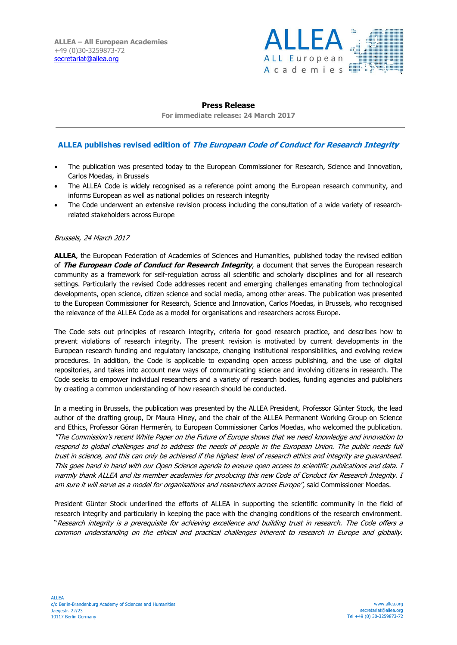

## **Press Release**

**For immediate release: 24 March 2017**

# **ALLEA publishes revised edition of The European Code of Conduct for Research Integrity**

- The publication was presented today to the European Commissioner for Research, Science and Innovation, Carlos Moedas, in Brussels
- The ALLEA Code is widely recognised as a reference point among the European research community, and informs European as well as national policies on research integrity
- The Code underwent an extensive revision process including the consultation of a wide variety of researchrelated stakeholders across Europe

#### Brussels, 24 March 2017

**ALLEA**, the European Federation of Academies of Sciences and Humanities, published today the revised edition of **The European Code of Conduct for Research Integrity**, a document that serves the European research community as a framework for self-regulation across all scientific and scholarly disciplines and for all research settings. Particularly the revised Code addresses recent and emerging challenges emanating from technological developments, open science, citizen science and social media, among other areas. The publication was presented to the European Commissioner for Research, Science and Innovation, Carlos Moedas, in Brussels, who recognised the relevance of the ALLEA Code as a model for organisations and researchers across Europe.

The Code sets out principles of research integrity, criteria for good research practice, and describes how to prevent violations of research integrity. The present revision is motivated by current developments in the European research funding and regulatory landscape, changing institutional responsibilities, and evolving review procedures. In addition, the Code is applicable to expanding open access publishing, and the use of digital repositories, and takes into account new ways of communicating science and involving citizens in research. The Code seeks to empower individual researchers and a variety of research bodies, funding agencies and publishers by creating a common understanding of how research should be conducted.

In a meeting in Brussels, the publication was presented by the ALLEA President, Professor Günter Stock, the lead author of the drafting group, Dr Maura Hiney, and the chair of the ALLEA Permanent Working Group on Science and Ethics, Professor Göran Hermerén, to European Commissioner Carlos Moedas, who welcomed the publication. "The Commission's recent White Paper on the Future of Europe shows that we need knowledge and innovation to respond to global challenges and to address the needs of people in the European Union. The public needs full trust in science, and this can only be achieved if the highest level of research ethics and integrity are guaranteed. This goes hand in hand with our Open Science agenda to ensure open access to scientific publications and data. I warmly thank ALLEA and its member academies for producing this new Code of Conduct for Research Integrity. I am sure it will serve as a model for organisations and researchers across Europe", said Commissioner Moedas.

President Günter Stock underlined the efforts of ALLEA in supporting the scientific community in the field of research integrity and particularly in keeping the pace with the changing conditions of the research environment. "Research integrity is a prerequisite for achieving excellence and building trust in research. The Code offers a common understanding on the ethical and practical challenges inherent to research in Europe and globally.